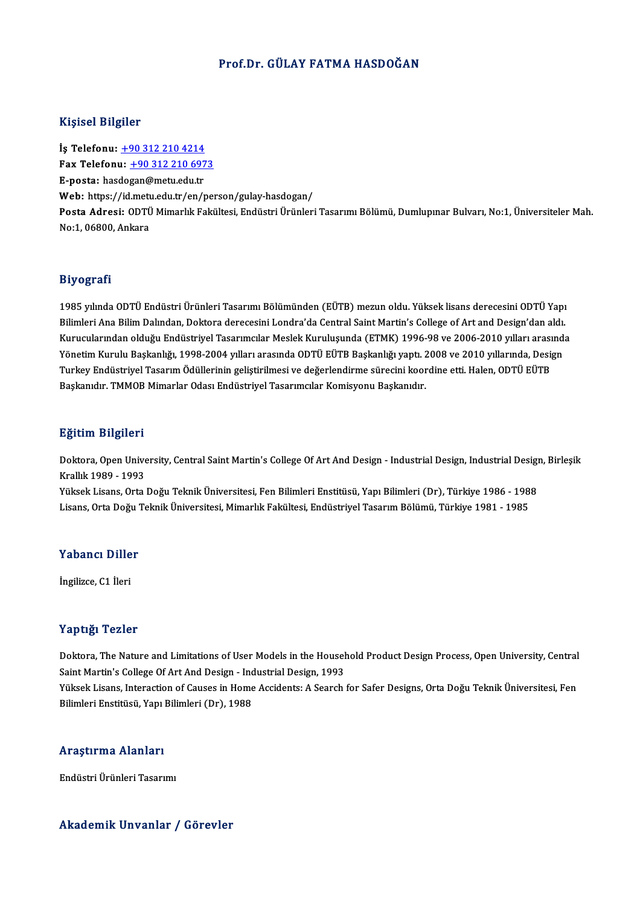### Prof.Dr. GÜLAY FATMA HASDOĞAN

### Kişisel Bilgiler

İş Telefonu: +90 312 210 4214 1133001 2115101<br>İş Telefonu: <u>+90 312 210 4214</u><br>Fax Telefonu: <u>+90 312 210 6973</u> İş Telefonu: <u>+90 312 210 4214</u><br>Fax Telefonu: <u>+90 312 210 697</u><br>E-posta: has[do](tel:+90 312 210 4214)[gan@metu.edu.tr](tel:+90 312 210 6973)<br>Web: https://id.metu.edu.tr/cn/ Fax Telefonu: <u>+90 312 210 6973</u><br>E-posta: hasdogan@metu.edu.tr<br>Web: https://id.metu.edu.tr/en/person/gulay-hasdogan/<br>Pesta Adresi: ODTÜ Mimerlik Fekültesi Endüstri Ürünleri E-posta: hasdogan@metu.edu.tr<br>Web: https://id.metu.edu.tr/en/person/gulay-hasdogan/<br>Posta Adresi: ODTÜ Mimarlık Fakültesi, Endüstri Ürünleri Tasarımı Bölümü, Dumlupınar Bulvarı, No:1, Üniversiteler Mah.<br>No:1, 06800, Ankara Web: https://id.met<mark>.</mark><br>Posta Adresi: ODTÜ<br>No:1, 06800, Ankara

### Biyografi

**Biyografi**<br>1985 yılında ODTÜ Endüstri Ürünleri Tasarımı Bölümünden (EÜTB) mezun oldu. Yüksek lisans derecesini ODTÜ Yapı<br>Bilimleri Ana Bilim Dalından, Daktara derecesini Landra'da Cantral Saint Martin's Callage of Art and Biy Ogi uni<br>1985 yılında ODTÜ Endüstri Ürünleri Tasarımı Bölümünden (EÜTB) mezun oldu. Yüksek lisans derecesini ODTÜ Yapı<br>Bilimleri Ana Bilim Dalından, Doktora derecesini Londra'da Central Saint Martin's College of Art and 1985 yılında ODTÜ Endüstri Ürünleri Tasarımı Bölümünden (EÜTB) mezun oldu. Yüksek lisans derecesini ODTÜ Yapı<br>Bilimleri Ana Bilim Dalından, Doktora derecesini Londra'da Central Saint Martin's College of Art and Design'dan Bilimleri Ana Bilim Dalından, Doktora derecesini Londra'da Central Saint Martin's College of Art and Design'dan aldı.<br>Kurucularından olduğu Endüstriyel Tasarımcılar Meslek Kuruluşunda (ETMK) 1996-98 ve 2006-2010 yılları ar Yönetim Kurulu Başkanlığı, 1998-2004 yılları arasında ODTÜ EÜTB Başkanlığı yaptı. 2008 ve 2010 yıllarında, Design<br>Turkey Endüstriyel Tasarım Ödüllerinin geliştirilmesi ve değerlendirme sürecini koordine etti. Halen, ODTÜ E Turkey Endüstriyel Tasarım Ödüllerinin geliştirilmesi ve değerlendirme sürecini koordine etti. Halen, ODTÜ EÜTB

### Eğitim Bilgileri

**Eğitim Bilgileri**<br>Doktora, Open University, Central Saint Martin's College Of Art And Design - Industrial Design, Industrial Design, Birleşik<br>Krallık 1990–1993 2<br>Doktora, Open Unive<br>Krallık 1989 - 1993<br><sup>Vülgok Lisans, Orta</sup> Doktora, Open University, Central Saint Martin's College Of Art And Design - Industrial Design, Industrial Design<br>Krallık 1989 - 1993<br>Yüksek Lisans, Orta Doğu Teknik Üniversitesi, Fen Bilimleri Enstitüsü, Yapı Bilimleri (D

Krallık 1989 - 1993<br>Yüksek Lisans, Orta Doğu Teknik Üniversitesi, Fen Bilimleri Enstitüsü, Yapı Bilimleri (Dr), Türkiye 1986 - 1988<br>Lisans, Orta Doğu Teknik Üniversitesi, Mimarlık Fakültesi, Endüstriyel Tasarım Bölümü, Tür

### Yabancı Diller

İngilizce, C1 İleri

### Yaptığı Tezler

Yaptığı Tezler<br>Doktora, The Nature and Limitations of User Models in the Household Product Design Process, Open University, Central<br>Saint Martin's Cellege Of Art And Design , Industrial Design 1993 Tup ug. Tonion<br>Doktora, The Nature and Limitations of User Models in the Househ<br>Saint Martin's College Of Art And Design - Industrial Design, 1993<br>Vikeek Lisans, Interaction of Causes in Home Accidents: A Search Doktora, The Nature and Limitations of User Models in the Household Product Design Process, Open University, Central<br>Saint Martin's College Of Art And Design - Industrial Design, 1993<br>Yüksek Lisans, Interaction of Causes i Saint Martin's College Of Art And Design - Inc<br>Yüksek Lisans, Interaction of Causes in Home<br>Bilimleri Enstitüsü, Yapı Bilimleri (Dr), 1988

# Bilimleri Enstitüsü, Yapı Bilimleri (Dr), 1988<br>Araştırma Alanları

EndüstriÜrünleriTasarımı

### Akademik Unvanlar / Görevler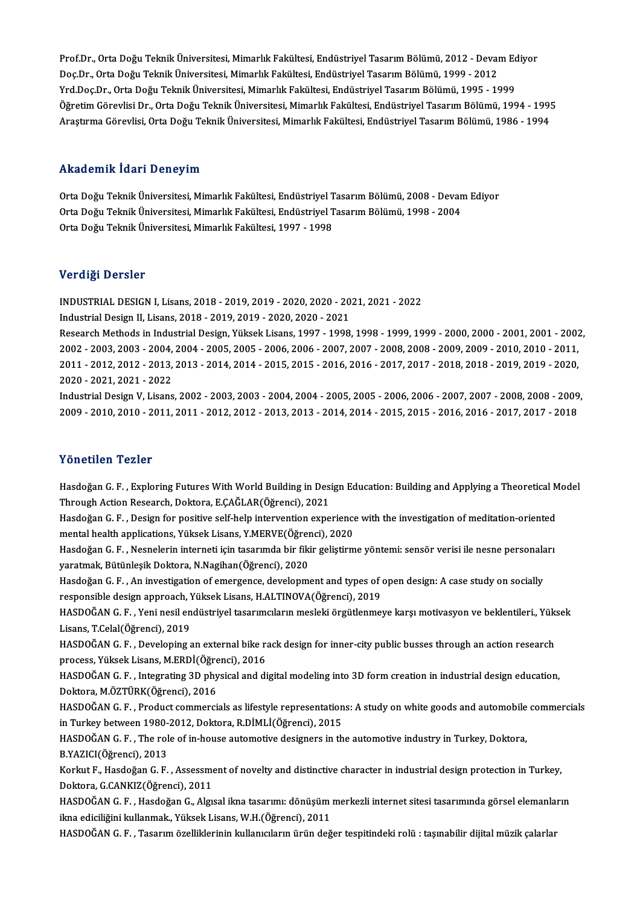Prof.Dr., Orta Doğu Teknik Üniversitesi, Mimarlık Fakültesi, Endüstriyel Tasarım Bölümü, 2012 - Devam Ediyor<br>Des Dr., Orta Doğu Teknik Üniversitesi, Mimarlık Fakültesi, Endüstriyel Tasarım Bölümü, 2012 - Devam Ediyor Prof.Dr., Orta Doğu Teknik Üniversitesi, Mimarlık Fakültesi, Endüstriyel Tasarım Bölümü, 2012 - Devai<br>Doç.Dr., Orta Doğu Teknik Üniversitesi, Mimarlık Fakültesi, Endüstriyel Tasarım Bölümü, 1999 - 2012<br>Yrd Dos Dr., Orta Do Prof.Dr., Orta Doğu Teknik Üniversitesi, Mimarlık Fakültesi, Endüstriyel Tasarım Bölümü, 2012 - Devam Ec<br>Doç.Dr., Orta Doğu Teknik Üniversitesi, Mimarlık Fakültesi, Endüstriyel Tasarım Bölümü, 1999 - 2012<br>Yrd.Doç.Dr., Orta Doç.Dr., Orta Doğu Teknik Üniversitesi, Mimarlık Fakültesi, Endüstriyel Tasarım Bölümü, 1999 - 2012<br>Yrd.Doç.Dr., Orta Doğu Teknik Üniversitesi, Mimarlık Fakültesi, Endüstriyel Tasarım Bölümü, 1995 - 1999<br>Öğretim Görevlisi Yrd.Doç.Dr., Orta Doğu Teknik Üniversitesi, Mimarlık Fakültesi, Endüstriyel Tasarım Bölümü, 1995 - 1999<br>Öğretim Görevlisi Dr., Orta Doğu Teknik Üniversitesi, Mimarlık Fakültesi, Endüstriyel Tasarım Bölümü, 1994 - 199!<br>Araş Araştırma Görevlisi, Orta Doğu Teknik Üniversitesi, Mimarlık Fakültesi, Endüstriyel Tasarım Bölümü, 1986 - 1994<br>Akademik İdari Deneyim

Akademik İdari Deneyim<br>Orta Doğu Teknik Üniversitesi, Mimarlık Fakültesi, Endüstriyel Tasarım Bölümü, 2008 - Devam Ediyor<br>Orta Doğu Teknik Üniversitesi, Mimarlık Fakültesi, Endüstriyel Tasarım Bölümü, 1998 - 2004 TIRAA OIIIII TAATT D'OITOJ'III<br>Orta Doğu Teknik Üniversitesi, Mimarlık Fakültesi, Endüstriyel Tasarım Bölümü, 2008 - Devan<br>Orta Doğu Teknik Üniversitesi, Mimarlık Fakültesi, Endüstriyel Tasarım Bölümü, 1998 - 2004<br>Orta Doğ Orta Doğu Teknik Üniversitesi, Mimarlık Fakültesi, Endüstriyel Tasarım Bölümü, 1998 - 2004<br>Orta Doğu Teknik Üniversitesi, Mimarlık Fakültesi, 1997 - 1998

### Verdiği Dersler

INDUSTRIALDESIGNI,Lisans,2018 -2019,2019 -2020,2020 -2021,2021 -2022

Industrial Design II, Lisans, 2018 - 2019, 2019 - 2020, 2020 - 2021

INDUSTRIAL DESIGN I, Lisans, 2018 - 2019, 2019 - 2020, 2020 - 2021, 2021 - 2022<br>Industrial Design II, Lisans, 2018 - 2019, 2019 - 2020, 2020 - 2021<br>Research Methods in Industrial Design, Yüksek Lisans, 1997 - 1998, 1998 - Industrial Design II, Lisans, 2018 - 2019, 2019 - 2020, 2020 - 2021<br>Research Methods in Industrial Design, Yüksek Lisans, 1997 - 1998, 1998 - 1999, 1999 - 2000, 2000 - 2001, 2001 - 2002<br>2002 - 2003, 2003 - 2004, 2004 - 200 Research Methods in Industrial Design, Yüksek Lisans, 1997 - 1998, 1998 - 1999, 1999 - 2000, 2000 - 2001, 2001 - 2002<br>2002 - 2003, 2003 - 2004, 2004 - 2005, 2005 - 2006, 2006 - 2007, 2007 - 2008, 2008 - 2009, 2009 - 2010, 2002 - 2003, 2003 - 2004, 2004 - 2005, 2005 - 2006, 2006 - 2007, 2007 - 2008, 2008 - 2009, 2009 - 2010, 2010 - 2011,<br>2011 - 2012, 2012 - 2013, 2013 - 2014, 2014 - 2015, 2015 - 2016, 2016 - 2017, 2017 - 2018, 2018 - 2019, 2 2011 - 2012, 2012 - 2013, 2013 - 2014, 2014 - 2015, 2015 - 2016, 2016 - 2017, 2017 - 2018, 2018 - 2019, 2019 - 2020,<br>2020 - 2021, 2021 - 2022<br>Industrial Design V, Lisans, 2002 - 2003, 2003 - 2004, 2004 - 2005, 2005 - 2006,

2020 - 2021, 2021 - 2022<br>Industrial Design V, Lisans, 2002 - 2003, 2003 - 2004, 2004 - 2005, 2005 - 2006, 2006 - 2007, 2007 - 2008, 2008<br>2009 - 2010, 2010 - 2011, 2011 - 2012, 2012 - 2013, 2013 - 2014, 2014 - 2015, 2015 - 2009 - 2010, 2010 - 2011, 2011 - 2012, 2012 - 2013, 2013 - 2014, 2014 - 2015, 2015 - 2016, 2016 - 2017, 2017 - 2018<br>Yönetilen Tezler

Yönetilen Tezler<br>Hasdoğan G. F. , Exploring Futures With World Building in Design Education: Building and Applying a Theoretical Model<br>Through Agtion Researsh, Dektore, E.CAČI AR(Öğrensi), 2021 TUNUENUM TUNU.<br>Hasdoğan G. F. , Exploring Futures With World Building in Des:<br>Through Action Research, Doktora, E.ÇAĞLAR(Öğrenci), 2021<br>Hasdoğan G. E., Dasism for nositive self beln intervention evne Hasdoğan G. F. , Exploring Futures With World Building in Design Education: Building and Applying a Theoretical M<br>Through Action Research, Doktora, E.ÇAĞLAR(Öğrenci), 2021<br>Hasdoğan G. F. , Design for positive self-help int

Through Action Research, Doktora, E.ÇAĞLAR(Öğrenci), 2021<br>Hasdoğan G. F. , Design for positive self-help intervention experience<br>mental health applications, Yüksek Lisans, Y.MERVE(Öğrenci), 2020<br>Hasdoğan G. E., Neapolarin Hasdoğan G. F. , Design for positive self-help intervention experience with the investigation of meditation-oriented<br>mental health applications, Yüksek Lisans, Y.MERVE(Öğrenci), 2020<br>Hasdoğan G. F. , Nesnelerin interneti i

mental health applications, Yüksek Lisans, Y.MERVE(Öğrenci), 2020<br>Hasdoğan G. F. , Nesnelerin interneti için tasarımda bir fikir geliştirme yöntemi: sensör verisi ile nesne personaları<br>yaratmak, Bütünleşik Doktora, N.Nagih Hasdoğan G. F. , Nesnelerin interneti için tasarımda bir fikir geliştirme yöntemi: sensör verisi ile nesne personala<br>yaratmak, Bütünleşik Doktora, N.Nagihan(Öğrenci), 2020<br>Hasdoğan G. F. , An investigation of emergence, de

yaratmak, Bütünleşik Doktora, N.Nagihan(Öğrenci), 2020<br>Hasdoğan G. F. , An investigation of emergence, development and types of «<br>responsible design approach, Yüksek Lisans, H.ALTINOVA(Öğrenci), 2019<br>HASDOČAN G. E., Yoni n Hasdoğan G. F. , An investigation of emergence, development and types of open design: A case study on socially<br>responsible design approach, Yüksek Lisans, H.ALTINOVA(Öğrenci), 2019<br>HASDOĞAN G. F. , Yeni nesil endüstriyel t

responsible design approach, Yüksek Lisans, H.ALTINOVA(Öğrenci), 2019<br>HASDOĞAN G. F. , Yeni nesil endüstriyel tasarımcıların mesleki örgütlenmeye karşı motivasyon ve beklentileri., Yüksek<br>Lisans, T.Celal(Öğrenci), 2019 HASDOĞAN G. F. , Yeni nesil endüstriyel tasarımcıların mesleki örgütlenmeye karşı motivasyon ve beklentileri., Yük:<br>Lisans, T.Celal(Öğrenci), 2019<br>HASDOĞAN G. F. , Developing an external bike rack design for inner-city pub

Lisans, T.Celal(Öğrenci), 2019<br>HASDOĞAN G. F. , Developing an external bike r.<br>process, Yüksek Lisans, M.ERDİ(Öğrenci), 2016<br>HASDOĞAN G. E., Integrating 3D physical and di HASDOĞAN G. F. , Developing an external bike rack design for inner-city public busses through an action research<br>process, Yüksek Lisans, M.ERDİ(Öğrenci), 2016<br>HASDOĞAN G. F. , Integrating 3D physical and digital modeling i

process, Yüksek Lisans, M.ERDİ(Öğre<br>HASDOĞAN G. F. , Integrating 3D phy<br>Doktora, M.ÖZTÜRK(Öğrenci), 2016<br>HASDOĞAN C. E., Produst sommarsi HASDOĞAN G. F. , Integrating 3D physical and digital modeling into 3D form creation in industrial design education,<br>Doktora, M.ÖZTÜRK(Öğrenci), 2016<br>HASDOĞAN G. F. , Product commercials as lifestyle representations: A stud

Doktora, M.ÖZTÜRK(Öğrenci), 2016<br>HASDOĞAN G. F. , Product commercials as lifestyle representation<br>in Turkey between 1980-2012, Doktora, R.DİMLİ(Öğrenci), 2015<br>HASDOĞAN G. E., The rele of in beuse autemative designers in th HASDOĞAN G. F. , Product commercials as lifestyle representations: A study on white goods and automobile commercials<br>in Turkey between 1980-2012, Doktora, R.DİMLİ(Öğrenci), 2015<br>HASDOĞAN G. F. , The role of in-house automo

in Turkey between 1980-<br>HASDOĞAN G. F. , The rol<br>B.YAZICI(Öğrenci), 2013<br>Karlut E. Hasdoğan G. E HASDOĞAN G. F. , The role of in-house automotive designers in the automotive industry in Turkey, Doktora,<br>B.YAZICI(Öğrenci), 2013<br>Korkut F., Hasdoğan G. F. , Assessment of novelty and distinctive character in industrial de

B.YAZICI(Öğrenci), 2013<br>Korkut F., Hasdoğan G. F. , Assessme<br>Doktora, G.CANKIZ(Öğrenci), 2011<br>HASDOĞAN G. E. , Hasdoğan G. Alay Korkut F., Hasdoğan G. F. , Assessment of novelty and distinctive character in industrial design protection in Turkey,<br>Doktora, G.CANKIZ(Öğrenci), 2011<br>HASDOĞAN G. F. , Hasdoğan G., Algısal ikna tasarımı: dönüşüm merkezli

Doktora, G.CANKIZ(Öğrenci), 2011<br>HASDOĞAN G. F. , Hasdoğan G., Algısal ikna tasarımı: dönüşüm merkezli internet sitesi tasarımında görsel elemanlar<br>ikna ediciliğini kullanmak., Yüksek Lisans, W.H.(Öğrenci), 2011<br>HASDOĞAN G HASDOĞAN G.F., Hasdoğan G., Algısal ikna tasarımı: dönüşüm merkezli internet sitesi tasarımında görsel elemanların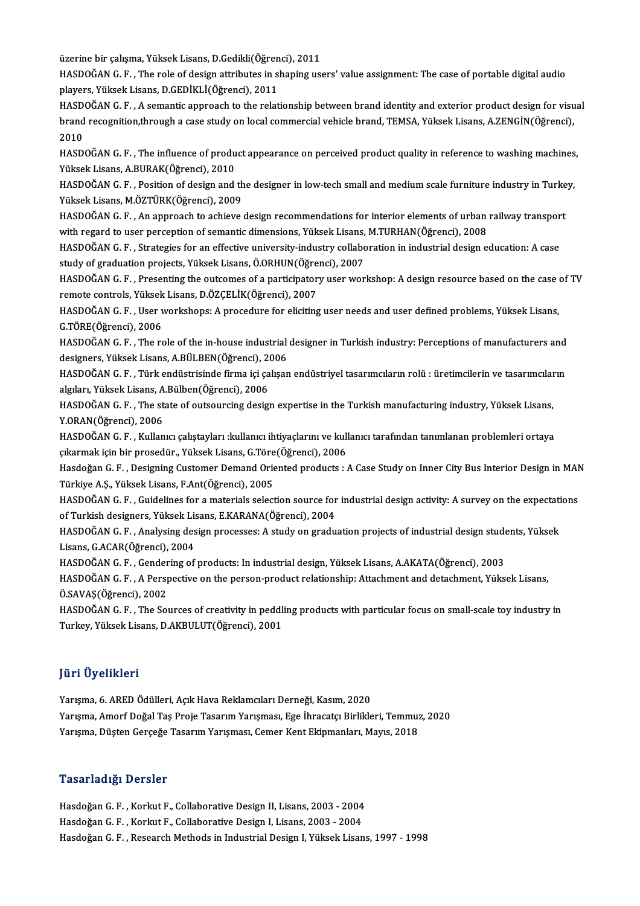üzerine bir çalışma, Yüksek Lisans, D.Gedikli(Öğrenci), 2011<br>HASDOČAN G. E. . The rele of design ettributes in shaning us

HASDOĞAN G. F. , The role of design attributes in shaping users' value assignment: The case of portable digital audio<br>players, Yüksek Lisans, D.GEDİKLİ(Öğrenci), 2011 üzerine bir çalışma, Yüksek Lisans, D.Gedikli(Öğren<br>HASDOĞAN G. F. , The role of design attributes in s.<br>players, Yüksek Lisans, D.GEDİKLİ(Öğrenci), 2011<br>HASDOĞAN G. E. , Asemantis annuasek ta the relat HASDOĞAN G. F. , The role of design attributes in shaping users' value assignment: The case of portable digital audio<br>players, Yüksek Lisans, D.GEDİKLİ(Öğrenci), 2011<br>HASDOĞAN G. F. , A semantic approach to the relationshi

players, Yüksek Lisans, D.GEDİKLİ(Öğrenci), 2011<br>HASDOĞAN G. F. , A semantic approach to the relationship between brand identity and exterior product design for visu<br>brand recognition,through a case study on local commerci HASD<br>brand<br>2010<br>HASD

brand recognition,through a case study on local commercial vehicle brand, TEMSA, Yüksek Lisans, A.ZENGİN(Öğrenci),<br>2010<br>HASDOĞAN G. F. , The influence of product appearance on perceived product quality in reference to wash HASDOĞAN G.F., The influence of product appearance on perceived product quality in reference to washing machines, HASDOĞAN G. F. , The influence of product appearance on perceived product quality in reference to washing machines<br>Yüksek Lisans, A.BURAK(Öğrenci), 2010<br>HASDOĞAN G. F. , Position of design and the designer in low-tech smal

Yüksek Lisans, M.ÖZTÜRK(Öğrenci), 2009 HASDOĞAN G. F. , Position of design and the designer in low-tech small and medium scale furniture industry in Turke<br>Yüksek Lisans, M.ÖZTÜRK(Öğrenci), 2009<br>HASDOĞAN G. F. , An approach to achieve design recommendations for

Yüksek Lisans, M.ÖZTÜRK(Öğrenci), 2009<br>HASDOĞAN G. F. , An approach to achieve design recommendations for interior elements of urban<br>with regard to user perception of semantic dimensions, Yüksek Lisans, M.TURHAN(Öğrenci), HASDOĞAN G. F. , An approach to achieve design recommendations for interior elements of urban railway transpor<br>with regard to user perception of semantic dimensions, Yüksek Lisans, M.TURHAN(Öğrenci), 2008<br>HASDOĞAN G. F. ,

with regard to user perception of semantic dimensions, Yüksek Lisans,<br>HASDOĞAN G. F. , Strategies for an effective university-industry collabo<br>study of graduation projects, Yüksek Lisans, Ö.ORHUN(Öğrenci), 2007<br>HASDOĞAN G. HASDOĞAN G. F. , Strategies for an effective university-industry collaboration in industrial design education: A case<br>study of graduation projects, Yüksek Lisans, Ö.ORHUN(Öğrenci), 2007<br>HASDOĞAN G. F. , Presenting the outc

study of graduation projects, Yüksek Lisans, Ö.ORHUN(Öğre<br>HASDOĞAN G. F. , Presenting the outcomes of a participator<br>remote controls, Yüksek Lisans, D.ÖZÇELİK(Öğrenci), 2007<br>HASDOĞAN G. E., Hası verkebansı A presedure for HASDOĞAN G. F. , Presenting the outcomes of a participatory user workshop: A design resource based on the case<br>remote controls, Yüksek Lisans, D.ÖZÇELİK(Öğrenci), 2007<br>HASDOĞAN G. F. , User workshops: A procedure for elici

remote controls, Yüksek Lisans, D.ÖZÇELİK(Öğrenci), 2007<br>HASDOĞAN G. F. , User workshops: A procedure for eliciting user needs and user defined problems, Yüksek Lisans,<br>G.TÖRE(Öğrenci), 2006 HASDOĞAN G. F. , User workshops: A procedure for eliciting user needs and user defined problems, Yüksek Lisans,<br>G.TÖRE(Öğrenci), 2006<br>HASDOĞAN G. F. , The role of the in-house industrial designer in Turkish industry: Perce

G.TÖRE(Öğrenci), 2006<br>HASDOĞAN G. F. , The role of the in-house industrial<br>designers, Yüksek Lisans, A.BÜLBEN(Öğrenci), 2006<br>HASDOĞAN G. E., Türk ondüstrisinde firme isi saksen HASDOĞAN G. F. , The role of the in-house industrial designer in Turkish industry: Perceptions of manufacturers and<br>designers, Yüksek Lisans, A.BÜLBEN(Öğrenci), 2006<br>HASDOĞAN G. F. , Türk endüstrisinde firma içi çalışan en

designers, Yüksek Lisans, A.BÜLBEN(Öğrenci), 20<br>HASDOĞAN G. F. , Türk endüstrisinde firma içi ça<br>algıları, Yüksek Lisans, A.Bülben(Öğrenci), 2006<br>HASDOĞAN G. E. . The state of outsoursing desig HASDOĞAN G. F. , Türk endüstrisinde firma içi çalışan endüstriyel tasarımcıların rolü : üretimcilerin ve tasarımcılar<br>algıları, Yüksek Lisans, A.Bülben(Öğrenci), 2006<br>HASDOĞAN G. F. , The state of outsourcing design expert

algıları, Yüksek Lisans, A<br>HASDOĞAN G. F. , The st<br>Y.ORAN(Öğrenci), 2006<br>HASDOĞAN C. E. Kullan HASDOĞAN G. F. , The state of outsourcing design expertise in the Turkish manufacturing industry, Yüksek Lisans,<br>Y.ORAN(Öğrenci), 2006<br>HASDOĞAN G. F. , Kullanıcı çalıştayları :kullanıcı ihtiyaçlarını ve kullanıcı tarafında

Y.ORAN(Öğrenci), 2006<br>HASDOĞAN G. F. , Kullanıcı çalıştayları :kullanıcı ihtiyaçlarını ve kullanıcı tarafından tanımlanan problemleri ortaya çıkarmak için bir prosedür., Yüksek Lisans, G.Töre(Öğrenci), 2006

Hasdoğan G.F., Designing Customer Demand Oriented products : A Case Study on Inner City Bus Interior Design in MAN<br>Türkiye A.Ş., Yüksek Lisans, F.Ant(Öğrenci), 2005 Hasdoğan G. F. , Designing Customer Demand Oriented products : A Case Study on Inner City Bus Interior Design in MAN<br>Türkiye A.Ş., Yüksek Lisans, F.Ant(Öğrenci), 2005<br>HASDOĞAN G. F. , Guidelines for a materials selection s

Türkiye A.Ş., Yüksek Lisans, F.Ant(Öğrenci), 2005<br>HASDOĞAN G. F. , Guidelines for a materials selection source for<br>of Turkish designers, Yüksek Lisans, E.KARANA(Öğrenci), 2004<br>HASDOĞAN G. E., Anglysing design prosesses: A HASDOĞAN G. F. , Guidelines for a materials selection source for industrial design activity: A survey on the expectati<br>of Turkish designers, Yüksek Lisans, E.KARANA(Öğrenci), 2004<br>HASDOĞAN G. F. , Analysing design processe

of Turkish designers, Yüksek Lisans, E.KARANA(Öğrenci), 2004<br>HASDOĞAN G. F. , Analysing design processes: A study on gradı<br>Lisans, G.ACAR(Öğrenci), 2004 HASDOĞAN G.F., Analysing design processes: A study on graduation projects of industrial design students, Yüksek

HASDOĞAN G. F., Gendering of products: In industrial design, Yüksek Lisans, A.AKATA(Öğrenci), 2003

HASDOĞAN G. F. , A Perspective on the person-product relationship: Attachment and detachment, Yüksek Lisans,<br>Ö.SAVAŞ(Öğrenci), 2002 HASDOĞAN G. F. , A Perspective on the person-product relationship: Attachment and detachment, Yüksek Lisans,<br>Ö.SAVAŞ(Öğrenci), 2002<br>HASDOĞAN G. F. , The Sources of creativity in peddling products with particular focus on s

Ö.SAVAŞ(Öğrenci), 2002<br>HASDOĞAN G. F. , The Sources of creativity in peddl<br>Turkey, Yüksek Lisans, D.AKBULUT(Öğrenci), 2001 Turkey, Yüksek Lisans, D.AKBULUT(Öğrenci), 2001<br>Jüri Üyelikleri

Yarışma, 6. ARED Ödülleri, Açık Hava Reklamcıları Derneği, Kasım, 2020

Yarışma, Amorf Doğal Taş Proje Tasarım Yarışması, Ege İhracatçı Birlikleri, Temmuz, 2020 Yarışma, Düşten Gerçeğe Tasarım Yarışması, Cemer Kent Ekipmanları, Mayıs, 2018

### Tasarladığı Dersler

Tasarladığı Dersler<br>Hasdoğan G. F. , Korkut F., Collaborative Design II, Lisans, 2003 - 2004<br>Hasdoğan G. F., Korkut E. Collaborative Design I. Lisans, 2003 - 2004 1 abar 1aar<sub>i</sub>st *D* er brer<br>Hasdoğan G. F. , Korkut F., Collaborative Design II, Lisans, 2003 - 2004<br>Hasdoğan G. F. , Korkut F., Collaborative Design I, Lisans, 2003 - 2004<br>Hasdoğan G. F. , Besearsh Methods in Industrial Hasdoğan G. F. , Korkut F., Collaborative Design I, Lisans, 2003 - 2004<br>Hasdoğan G. F. , Research Methods in Industrial Design I, Yüksek Lisans, 1997 - 1998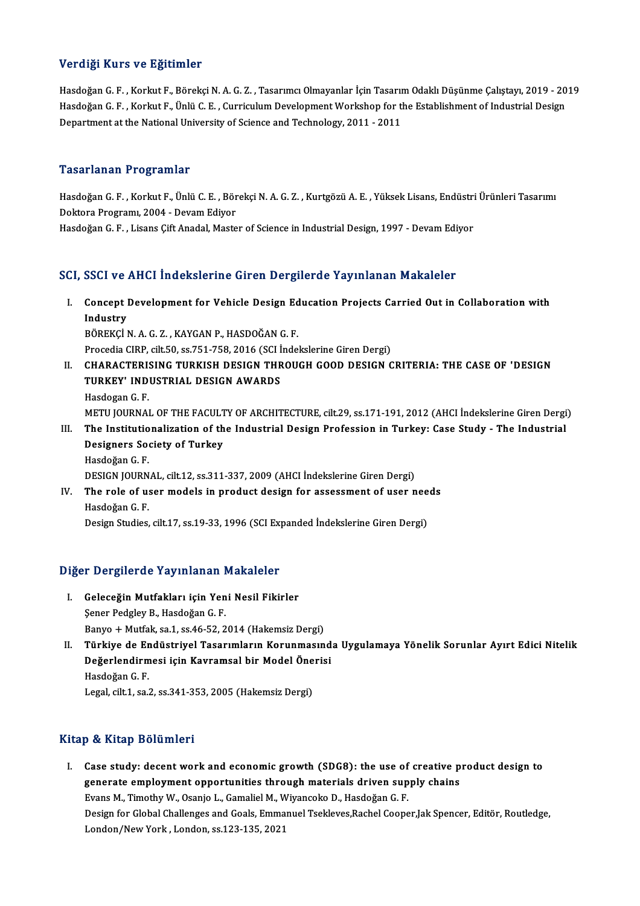### Verdiği Kurs ve Eğitimler

Verdiği Kurs ve Eğitimler<br>Hasdoğan G.F., Korkut F., Börekçi N. A. G. Z., Tasarımcı Olmayanlar İçin Tasarım Odaklı Düşünme Çalıştayı, 2019<br>Hasdoğan G.F., Korkut F. Ünlü G.F., Curriqulum Davalanmant Warkshan for the Establis Vor digi Frand Vo Egitimiter<br>Hasdoğan G. F. , Korkut F., Börekçi N. A. G. Z. , Tasarımcı Olmayanlar İçin Tasarım Odaklı Düşünme Çalıştayı, 2019 - 20<br>Hasdoğan G. F. , Korkut F., Ünlü C. E. , Curriculum Development Workshop Hasdoğan G. F. , Korkut F., Ünlü C. E. , Curriculum Development Workshop for the Establishment of Industrial Design<br>Department at the National University of Science and Technology, 2011 - 2011

### Tasarlanan Programlar

Tasarlanan Programlar<br>Hasdoğan G. F. , Korkut F., Ünlü C. E. , Börekçi N. A. G. Z. , Kurtgözü A. E. , Yüksek Lisans, Endüstri Ürünleri Tasarımı<br>Pektere Presterm, 2004, Devem Ediyer 1 abar fanan 11 ogrammar<br>Hasdoğan G. F. , Korkut F., Ünlü C. E. , Bör<br>Doktora Programı, 2004 - Devam Ediyor<br>Hasdoğan C. E., Lisans Cift Anadal, Maste Hasdoğan G. F. , Korkut F., Ünlü C. E. , Börekçi N. A. G. Z. , Kurtgözü A. E. , Yüksek Lisans, Endüstri<br>Doktora Programı, 2004 - Devam Ediyor<br>Hasdoğan G. F. , Lisans Çift Anadal, Master of Science in Industrial Design, 199

# Hasdoğan G. F. , Lisans Çift Anadal, Master of Science in Industrial Design, 1997 - Devam Ediyor<br>SCI, SSCI ve AHCI İndekslerine Giren Dergilerde Yayınlanan Makaleler

CI, SSCI ve AHCI İndekslerine Giren Dergilerde Yayınlanan Makaleler<br>I. Concept Development for Vehicle Design Education Projects Carried Out in Collaboration with<br>Industry Concept |<br>Industry<br>PÖPEKCLI Concept Development for Vehicle Design Ed<br>Industry<br>BÖREKÇİ N. A. G. Z. , KAYGAN P., HASDOĞAN G. F.<br>Presedia CIPP. silt EQ. 88.751.759.2016 (SCL Inde

I<mark>ndustry</mark><br>BÖREKÇİ N. A. G. Z. , KAYGAN P., HASDOĞAN G. F.<br>Procedia CIRP, cilt.50, ss.751-758, 2016 (SCI İndekslerine Giren Dergi)<br>CHARACTERISINC TURKISH DESICN THROUCH COOD DESICN C BÖREKÇİ N. A. G. Z. , KAYGAN P., HASDOĞAN G. F.<br>Procedia CIRP, cilt.50, ss.751-758, 2016 (SCI İndekslerine Giren Dergi)<br>II. CHARACTERISING TURKISH DESIGN THROUGH GOOD DESIGN CRITERIA: THE CASE OF 'DESIGN

- Procedia CIRP, cilt.50, ss.751-758, 2016 (SCI İ<br>CHARACTERISING TURKISH DESIGN THR<br>TURKEY' INDUSTRIAL DESIGN AWARDS<br>Haadagan C E TURKEY' INDUSTRIAL DESIGN AWARDS<br>Hasdogan G. F. METU JOURNAL OF THE FACULTY OF ARCHITECTURE, cilt.29, ss.171-191, 2012 (AHCI İndekslerine Giren Dergi) Hasdogan G. F.<br>METU JOURNAL OF THE FACULTY OF ARCHITECTURE, cilt.29, ss.171-191, 2012 (AHCI İndekslerine Giren Dergi<br>III. The Institutionalization of the Industrial Design Profession in Turkey: Case Study - The Industrial<br>
- METU JOURNAL OF THE FACULT<br>The Institutionalization of th<br>Designers Society of Turkey The Institutio<br>Designers So<br>Hasdoğan G.F.<br>DESICN JOUPN Designers Society of Turkey<br>Hasdoğan G. F.<br>DESIGN JOURNAL, cilt.12, ss.311-337, 2009 (AHCI İndekslerine Giren Dergi)<br>The role of user models in produst design for assessment of user n
- Hasdoğan G. F.<br>DESIGN JOURNAL, cilt.12, ss.311-337, 2009 (AHCI İndekslerine Giren Dergi)<br>IV. The role of user models in product design for assessment of user needs<br>Hasdoğan G. F. DESIGN JOURN<br>**The role of u:**<br>Hasdoğan G. F.<br>Design Studies Design Studies, cilt.17, ss.19-33, 1996 (SCI Expanded İndekslerine Giren Dergi)

# Design Studies, Citt.17, ss.19-33, 1996 (St.1 Exj<br>Diğer Dergilerde Yayınlanan Makaleler

- iğer Dergilerde Yayınlanan Makaleler<br>I. Geleceğin Mutfakları için Yeni Nesil Fikirler<br>Sanar Badalay B. Hasdağar G. E I. Geleceğin Mutfakları için Yeni Nesil Fikirler<br>Şener Pedgley B., Hasdoğan G. F. Geleceğin Mutfakları için Yeni Nesil Fikirler<br>Şener Pedgley B., Hasdoğan G. F.<br>Banyo + Mutfak, sa.1, ss.46-52, 2014 (Hakemsiz Dergi)<br>Türkiye de Endüstriyel Teserumların Kerunmasın
- Şener Pedgley B., Hasdoğan G. F.<br>Banyo + Mutfak, sa.1, ss.46-52, 2014 (Hakemsiz Dergi)<br>II. Türkiye de Endüstriyel Tasarımların Korunmasında Uygulamaya Yönelik Sorunlar Ayırt Edici Nitelik<br>Değerlendirmesi isin Koyramasl Banyo + Mutfak, sa.1, ss.46-52, 2014 (Hakemsiz Dergi)<br>Türkiye de Endüstriyel Tasarımların Korunmasınd<br>Değerlendirmesi için Kavramsal bir Model Önerisi<br>Hasdağan C. E <mark>Türkiye de Er</mark><br>Değerlendirm<br>Hasdoğan G. F.<br>Legal cit 1. sa Değerlendirmesi için Kavramsal bir Model Önerisi<br>Hasdoğan G. F.<br>Legal, cilt.1, sa.2, ss.341-353, 2005 (Hakemsiz Dergi)

### Kitap & Kitap Bölümleri

I. Case study: decentwork and economic growth (SDG8): the use of creative product design to generate employment variables on the use of creative p<br>generate employment opportunities through materials driven supply chains<br>Evans M. Timethy W. Osania L. Camalial M. Wivonsels D. Hasdağan C. E Case study: decent work and economic growth (SDG8): the use of<br>generate employment opportunities through materials driven sup<br>Evans M., Timothy W., Osanjo L., Gamaliel M., Wiyancoko D., Hasdoğan G. F.<br>Design for Clobal Cha Evans M., Timothy W., Osanjo L., Gamaliel M., Wiyancoko D., Hasdoğan G. F.<br>Design for Global Challenges and Goals, Emmanuel Tsekleves,Rachel Cooper,Jak Spencer, Editör, Routledge, London/NewYork,London, ss.123-135,2021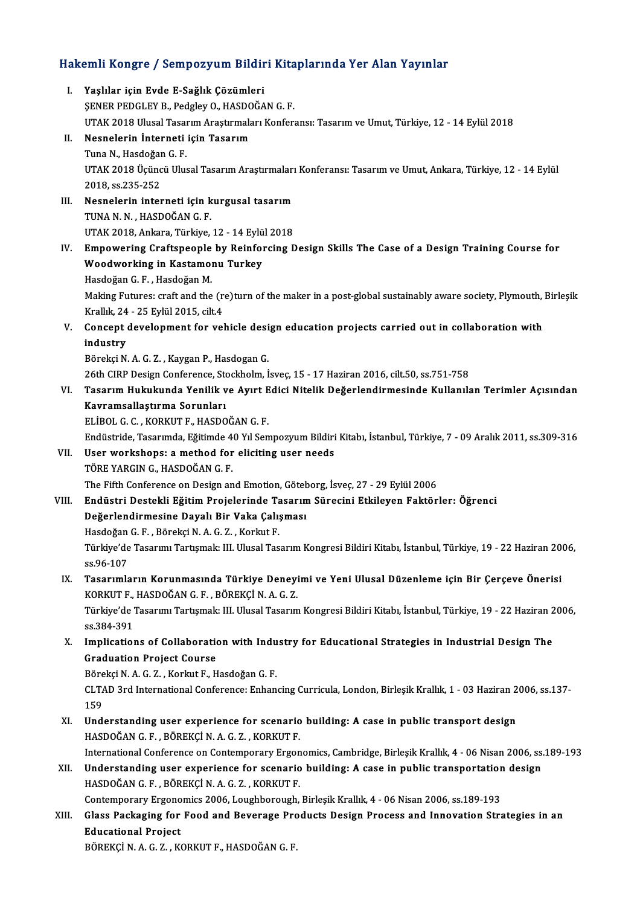# Hakemli Kongre / Sempozyum Bildiri Kitaplarında Yer Alan Yayınlar<br>Hakemli Kongre / Sempozyum Bildiri Kitaplarında Yer Alan Yayınlar

| Hakemli Kongre / Sempozyum Bildiri Kitaplarında Yer Alan Yayınlar |                                                                                                                                                           |
|-------------------------------------------------------------------|-----------------------------------------------------------------------------------------------------------------------------------------------------------|
| L.                                                                | Yaşlılar için Evde E-Sağlık Çözümleri<br>SENER PEDGLEY B., Pedgley O., HASDOĞAN G. F.                                                                     |
|                                                                   | UTAK 2018 Ulusal Tasarım Araştırmaları Konferansı: Tasarım ve Umut, Türkiye, 12 - 14 Eylül 2018                                                           |
| П.                                                                | Nesnelerin İnterneti için Tasarım                                                                                                                         |
|                                                                   | Tuna N., Hasdoğan G.F.                                                                                                                                    |
|                                                                   | UTAK 2018 Üçüncü Ulusal Tasarım Araştırmaları Konferansı: Tasarım ve Umut, Ankara, Türkiye, 12 - 14 Eylül<br>2018, ss 235-252                             |
| III.                                                              | Nesnelerin interneti için kurgusal tasarım                                                                                                                |
|                                                                   | TUNA N. N., HASDOĞAN G. F.                                                                                                                                |
|                                                                   | UTAK 2018, Ankara, Türkiye, 12 - 14 Eylül 2018                                                                                                            |
| IV.                                                               | Empowering Craftspeople by Reinforcing Design Skills The Case of a Design Training Course for                                                             |
|                                                                   | Woodworking in Kastamonu Turkey                                                                                                                           |
|                                                                   | Hasdoğan G.F., Hasdoğan M.                                                                                                                                |
|                                                                   | Making Futures: craft and the (re)turn of the maker in a post-global sustainably aware society, Plymouth, Birleşik<br>Krallık, 24 - 25 Eylül 2015, cilt 4 |
| V.                                                                | Concept development for vehicle design education projects carried out in collaboration with                                                               |
|                                                                   | industry                                                                                                                                                  |
|                                                                   | Börekçi N. A. G. Z., Kaygan P., Hasdogan G.                                                                                                               |
|                                                                   | 26th CIRP Design Conference, Stockholm, İsveç, 15 - 17 Haziran 2016, cilt.50, ss.751-758                                                                  |
| VI.                                                               | Tasarım Hukukunda Yenilik ve Ayırt Edici Nitelik Değerlendirmesinde Kullanılan Terimler Açısından                                                         |
|                                                                   | Kavramsallaştırma Sorunları                                                                                                                               |
|                                                                   | ELIBOL G. C., KORKUT F., HASDOĞAN G. F.                                                                                                                   |
|                                                                   | Endüstride, Tasarımda, Eğitimde 40 Yıl Sempozyum Bildiri Kitabı, İstanbul, Türkiye, 7 - 09 Aralık 2011, ss.309-316                                        |
| VII.                                                              | User workshops: a method for eliciting user needs                                                                                                         |
|                                                                   | TÖRE YARGIN G., HASDOĞAN G. F.                                                                                                                            |
|                                                                   | The Fifth Conference on Design and Emotion, Göteborg, İsveç, 27 - 29 Eylül 2006                                                                           |
| VIII.                                                             | Endüstri Destekli Eğitim Projelerinde Tasarım Sürecini Etkileyen Faktörler: Öğrenci                                                                       |
|                                                                   | Değerlendirmesine Dayalı Bir Vaka Çalışması                                                                                                               |
|                                                                   | Hasdoğan G. F., Börekçi N. A. G. Z., Korkut F.                                                                                                            |
|                                                                   | Türkiye'de Tasarımı Tartışmak: III. Ulusal Tasarım Kongresi Bildiri Kitabı, İstanbul, Türkiye, 19 - 22 Haziran 2006,<br>ss 96-107                         |
| IX.                                                               | Tasarımların Korunmasında Türkiye Deneyimi ve Yeni Ulusal Düzenleme için Bir Çerçeve Önerisi<br>KORKUT F., HASDOĞAN G. F., BÖREKÇİ N. A. G. Z.            |
|                                                                   | Türkiye'de Tasarımı Tartışmak: III. Ulusal Tasarım Kongresi Bildiri Kitabı, İstanbul, Türkiye, 19 - 22 Haziran 2006,<br>ss 384-391                        |
| X.                                                                | Implications of Collaboration with Industry for Educational Strategies in Industrial Design The                                                           |
|                                                                   | <b>Graduation Project Course</b>                                                                                                                          |
|                                                                   | Börekçi N. A. G. Z., Korkut F., Hasdoğan G. F.                                                                                                            |
|                                                                   | CLTAD 3rd International Conference: Enhancing Curricula, London, Birleşik Krallık, 1 - 03 Haziran 2006, ss.137-<br>159                                    |
| XI.                                                               | Understanding user experience for scenario building: A case in public transport design                                                                    |
|                                                                   | HASDOĞAN G. F., BÖREKÇİ N. A. G. Z., KORKUT F.                                                                                                            |
|                                                                   | International Conference on Contemporary Ergonomics, Cambridge, Birleşik Krallık, 4 - 06 Nisan 2006, ss.189-193                                           |
| XII.                                                              | Understanding user experience for scenario building: A case in public transportation design<br>HASDOĞAN G.F., BÖREKÇİ N.A.G.Z., KORKUT F.                 |
|                                                                   | Contemporary Ergonomics 2006, Loughborough, Birleşik Krallık, 4 - 06 Nisan 2006, ss.189-193                                                               |
| XIII.                                                             | Glass Packaging for Food and Beverage Products Design Process and Innovation Strategies in an                                                             |
|                                                                   | <b>Educational Project</b>                                                                                                                                |
|                                                                   | BÖREKÇİ N. A. G. Z., KORKUT F., HASDOĞAN G. F.                                                                                                            |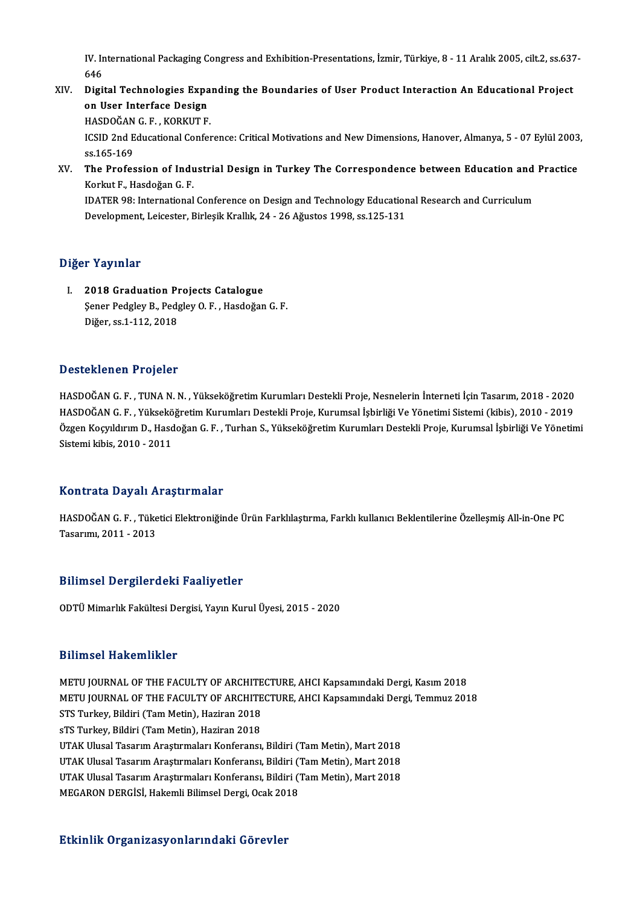IV. International Packaging Congress and Exhibition-Presentations, İzmir, Türkiye, 8 - 11 Aralık 2005, cilt.2, ss.637-<br>646 IV. In<br>646<br>Digit IV. International Packaging Congress and Exhibition-Presentations, İzmir, Türkiye, 8 - 11 Aralık 2005, cilt.2, ss.637<br>646<br>XIV. Digital Technologies Expanding the Boundaries of User Product Interaction An Educational Projec

### 646<br>Digital Technologies Expa<br>on User Interface Design<br>HASDOČAN C E - KOPKUT E Digital Technologies Expa<br>on User Interface Design<br>HASDOĞAN G.F., KORKUT F.<br>ICSID 2nd Educational Confor

on User Interface Design<br>HASDOĞAN G. F. , KORKUT F.<br>ICSID 2nd Educational Conference: Critical Motivations and New Dimensions, Hanover, Almanya, 5 - 07 Eylül 2003, HASDOĞAN<br>ICSID 2nd E<br>ss.165-169<br>The Profes ICSID 2nd Educational Conference: Critical Motivations and New Dimensions, Hanover, Almanya, 5 - 07 Eylül 2003<br>ss.165-169<br>XV. The Profession of Industrial Design in Turkey The Correspondence between Education and Practice<br>

ss.165-169<br>The Profession of Indu<br>Korkut F., Hasdoğan G. F.<br>IDATER 09: International The Profession of Industrial Design in Turkey The Correspondence between Education and<br>Korkut F., Hasdoğan G. F.<br>IDATER 98: International Conference on Design and Technology Educational Research and Curriculum<br>Development

Korkut F., Hasdoğan G. F.<br>IDATER 98: International Conference on Design and Technology Educatior<br>Development, Leicester, Birleşik Krallık, 24 - 26 Ağustos 1998, ss.125-131 Development, Leicester, Birleşik Krallık, 24 - 26 Ağustos 1998, ss.125-131<br>Diğer Yayınlar

I. 2018 Graduation Projects Catalogue r Fuynnar<br>2018 Graduation Projects Catalogue<br>Şener Pedgley B., Pedgley O. F. , Hasdoğan G. F.<br>Diğen 98.1.112.2019 2018 Graduation P1<br>Şener Pedgley B., Ped<sub>{</sub><br>Diğer, ss.1-112, 2018

# Diğer, ss.1-112, 2018<br>Desteklenen Projeler

Desteklenen Projeler<br>HASDOĞAN G. F. , TUNA N. N. , Yükseköğretim Kurumları Destekli Proje, Nesnelerin İnterneti İçin Tasarım, 2018 - 2020<br>HASDOĞAN G. F. , Yükseköğretim Kurumları Destekli Proje, Kurumeal İshirliği Ve Yönet B OSCONCHON I I TOJOISI<br>HASDOĞAN G. F. , TUNA N. N. , Yükseköğretim Kurumları Destekli Proje, Nesnelerin İnterneti İçin Tasarım, 2018 - 2020<br>HASDOĞAN G. F. , Yükseköğretim Kurumları Destekli Proje, Kurumsal İşbirliği Ve Yö Özgen Koçyıldırım D., Hasdoğan G. F. , Turhan S., Yükseköğretim Kurumları Destekli Proje, Kurumsal İşbirliği Ve Yönetimi<br>Sistemi kibis, 2010 - 2011 HASDOĞAN G.F., Yükseköğretim Kurumları Destekli Proje, Kurumsal İşbirliği Ve Yönetimi Sistemi (kibis), 2010 - 2019

### KontrataDayalı Araştırmalar

Kontrata Dayalı Araştırmalar<br>HASDOĞAN G. F. , Tüketici Elektroniğinde Ürün Farklılaştırma, Farklı kullanıcı Beklentilerine Özelleşmiş All-in-One PC<br>Tasarımı 2011 - 2012 11011 1211 229 111<br>HASDOĞAN G. F. , Tüke<br>Tasarımı, 2011 - 2013

# Tasarımı, 2011 - 2013<br>Bilimsel Dergilerdeki Faaliyetler

ODTÜMimarlıkFakültesiDergisi,YayınKurulÜyesi,2015 -2020

### Bilimsel Hakemlikler

Bilimsel Hakemlikler<br>METU JOURNAL OF THE FACULTY OF ARCHITECTURE, AHCI Kapsamındaki Dergi, Kasım 2018<br>METU JOURNAL OF THE FACULTY OF ARCHITECTURE, AHCI Kapsamındaki Dergi, Temmuz 201 D'ITINOOT TRANSIMITING<br>METU JOURNAL OF THE FACULTY OF ARCHITECTURE, AHCI Kapsamındaki Dergi, Kasım 2018<br>METU JOURNAL OF THE FACULTY OF ARCHITECTURE, AHCI Kapsamındaki Dergi, Temmuz 2018<br>STS Turkey, Bildiri (Tem Metin), Heg METU JOURNAL OF THE FACULTY OF ARCHITE<br>METU JOURNAL OF THE FACULTY OF ARCHITE<br>STS Turkey, Bildiri (Tam Metin), Haziran 2018<br>S<sup>TS Turkov, Bildiri (Tam Matin), Haziran 2018</sup> METU JOURNAL OF THE FACULTY OF ARCHITE<br>STS Turkey, Bildiri (Tam Metin), Haziran 2018<br>sTS Turkey, Bildiri (Tam Metin), Haziran 2018<br>UTAK Ulusal Tessuum Arastumalaru Konferansu STS Turkey, Bildiri (Tam Metin), Haziran 2018<br>sTS Turkey, Bildiri (Tam Metin), Haziran 2018<br>UTAK Ulusal Tasarım Araştırmaları Konferansı, Bildiri (Tam Metin), Mart 2018<br>UTAK Ulusal Tasarım Arastırmaları Konferansı, Bildiri sTS Turkey, Bildiri (Tam Metin), Haziran 2018<br>UTAK Ulusal Tasarım Araştırmaları Konferansı, Bildiri (Tam Metin), Mart 2018<br>UTAK Ulusal Tasarım Araştırmaları Konferansı, Bildiri (Tam Metin), Mart 2018<br>UTAK Ulusal Tasarım Ar UTAK Ulusal Tasarım Araştırmaları Konferansı, Bildiri (Tam Metin), Mart 2018<br>UTAK Ulusal Tasarım Araştırmaları Konferansı, Bildiri (Tam Metin), Mart 2018<br>UTAK Ulusal Tasarım Araştırmaları Konferansı, Bildiri (Tam Metin), M UTAK Ulusal Tasarım Araştırmaları Konferansı, Bildiri ('<br>UTAK Ulusal Tasarım Araştırmaları Konferansı, Bildiri ('<br>MEGARON DERGİSİ, Hakemli Bilimsel Dergi, Ocak 2018

# MEGARON DERGİSİ, Hakemli Bilimsel Dergi, Ocak 2018<br>Etkinlik Organizasyonlarındaki Görevler